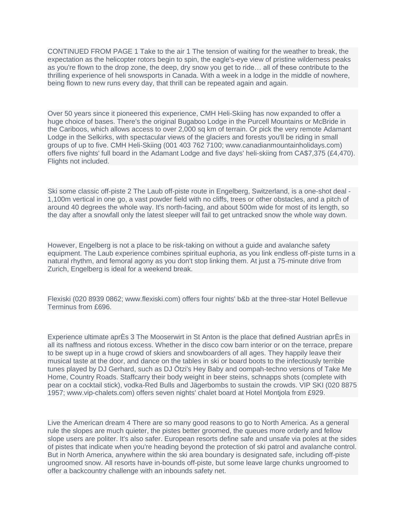CONTINUED FROM PAGE 1 Take to the air 1 The tension of waiting for the weather to break, the expectation as the helicopter rotors begin to spin, the eagle's-eye view of pristine wilderness peaks as you're flown to the drop zone, the deep, dry snow you get to ride… all of these contribute to the thrilling experience of heli snowsports in Canada. With a week in a lodge in the middle of nowhere, being flown to new runs every day, that thrill can be repeated again and again.

Over 50 years since it pioneered this experience, CMH Heli-Skiing has now expanded to offer a huge choice of bases. There's the original Bugaboo Lodge in the Purcell Mountains or McBride in the Cariboos, which allows access to over 2,000 sq km of terrain. Or pick the very remote Adamant Lodge in the Selkirks, with spectacular views of the glaciers and forests you'll be riding in small groups of up to five. CMH Heli-Skiing (001 403 762 7100; www.canadianmountainholidays.com) offers five nights' full board in the Adamant Lodge and five days' heli-skiing from CA\$7,375 (£4,470). Flights not included.

Ski some classic off-piste 2 The Laub off-piste route in Engelberg, Switzerland, is a one-shot deal - 1,100m vertical in one go, a vast powder field with no cliffs, trees or other obstacles, and a pitch of around 40 degrees the whole way. It's north-facing, and about 500m wide for most of its length, so the day after a snowfall only the latest sleeper will fail to get untracked snow the whole way down.

However, Engelberg is not a place to be risk-taking on without a guide and avalanche safety equipment. The Laub experience combines spiritual euphoria, as you link endless off-piste turns in a natural rhythm, and femoral agony as you don't stop linking them. At just a 75-minute drive from Zurich, Engelberg is ideal for a weekend break.

Flexiski (020 8939 0862; www.flexiski.com) offers four nights' b&b at the three-star Hotel Bellevue Terminus from £696.

Experience ultimate aprÈs 3 The Mooserwirt in St Anton is the place that defined Austrian aprÈs in all its naffness and riotous excess. Whether in the disco cow barn interior or on the terrace, prepare to be swept up in a huge crowd of skiers and snowboarders of all ages. They happily leave their musical taste at the door, and dance on the tables in ski or board boots to the infectiously terrible tunes played by DJ Gerhard, such as DJ Ötzi's Hey Baby and oompah-techno versions of Take Me Home, Country Roads. Staffcarry their body weight in beer steins, schnapps shots (complete with pear on a cocktail stick), vodka-Red Bulls and Jägerbombs to sustain the crowds. VIP SKI (020 8875 1957; www.vip-chalets.com) offers seven nights' chalet board at Hotel Montjola from £929.

Live the American dream 4 There are so many good reasons to go to North America. As a general rule the slopes are much quieter, the pistes better groomed, the queues more orderly and fellow slope users are politer. It's also safer. European resorts define safe and unsafe via poles at the sides of pistes that indicate when you're heading beyond the protection of ski patrol and avalanche control. But in North America, anywhere within the ski area boundary is designated safe, including off-piste ungroomed snow. All resorts have in-bounds off-piste, but some leave large chunks ungroomed to offer a backcountry challenge with an inbounds safety net.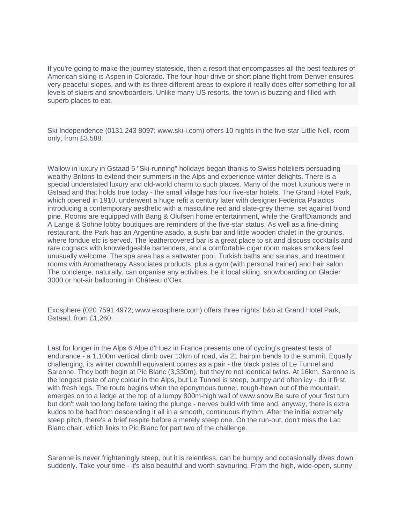If you're going to make the journey stateside, then a resort that encompasses all the best features of American skiing is Aspen in Colorado. The four-hour drive or short plane flight from Denver ensures very peaceful slopes, and with its three different areas to explore it really does offer something for all levels of skiers and snowboarders. Unlike many US resorts, the town is buzzing and filled with superb places to eat.

Ski Independence (0131 243 8097; www.ski-i.com) offers 10 nights in the five-star Little Nell, room only, from £3,588.

Wallow in luxury in Gstaad 5 "Ski-running" holidays began thanks to Swiss hoteliers persuading wealthy Britons to extend their summers in the Alps and experience winter delights. There is a special understated luxury and old-world charm to such places. Many of the most luxurious were in Gstaad and that holds true today - the small village has four five-star hotels. The Grand Hotel Park, which opened in 1910, underwent a huge refit a century later with designer Federica Palacios introducing a contemporary aesthetic with a masculine red and slate-grey theme, set against blond pine. Rooms are equipped with Bang & Olufsen home entertainment, while the GraffDiamonds and A Lange & Söhne lobby boutiques are reminders of the five-star status. As well as a fine-dining restaurant, the Park has an Argentine asado, a sushi bar and little wooden chalet in the grounds, where fondue etc is served. The leathercovered bar is a great place to sit and discuss cocktails and rare cognacs with knowledgeable bartenders, and a comfortable cigar room makes smokers feel unusually welcome. The spa area has a saltwater pool, Turkish baths and saunas, and treatment rooms with Aromatherapy Associates products, plus a gym (with personal trainer) and hair salon. The concierge, naturally, can organise any activities, be it local skiing, snowboarding on Glacier 3000 or hot-air ballooning in Château d'Oex.

Exosphere (020 7591 4972; www.exosphere.com) offers three nights' b&b at Grand Hotel Park, Gstaad, from £1,260.

Last for longer in the Alps 6 Alpe d'Huez in France presents one of cycling's greatest tests of endurance - a 1,100m vertical climb over 13km of road, via 21 hairpin bends to the summit. Equally challenging, its winter downhill equivalent comes as a pair - the black pistes of Le Tunnel and Sarenne. They both begin at Pic Blanc (3,330m), but they're not identical twins. At 16km, Sarenne is the longest piste of any colour in the Alps, but Le Tunnel is steep, bumpy and often icy - do it first, with fresh legs. The route begins when the eponymous tunnel, rough-hewn out of the mountain, emerges on to a ledge at the top of a lumpy 800m-high wall of www.snow.Be sure of your first turn but don't wait too long before taking the plunge - nerves build with time and, anyway, there is extra kudos to be had from descending it all in a smooth, continuous rhythm. After the initial extremely steep pitch, there's a brief respite before a merely steep one. On the run-out, don't miss the Lac Blanc chair, which links to Pic Blanc for part two of the challenge.

Sarenne is never frighteningly steep, but it is relentless, can be bumpy and occasionally dives down suddenly. Take your time - it's also beautiful and worth savouring. From the high, wide-open, sunny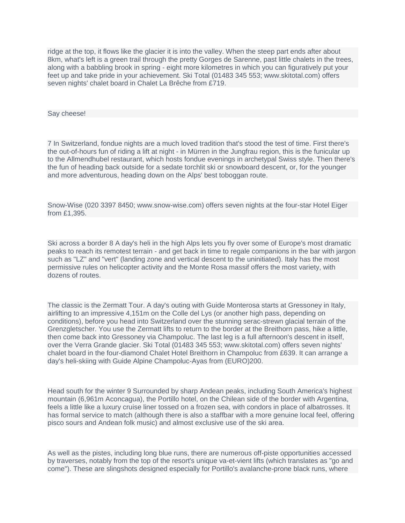ridge at the top, it flows like the glacier it is into the valley. When the steep part ends after about 8km, what's left is a green trail through the pretty Gorges de Sarenne, past little chalets in the trees, along with a babbling brook in spring - eight more kilometres in which you can figuratively put your feet up and take pride in your achievement. Ski Total (01483 345 553; www.skitotal.com) offers seven nights' chalet board in Chalet La Brêche from £719.

Say cheese!

7 In Switzerland, fondue nights are a much loved tradition that's stood the test of time. First there's the out-of-hours fun of riding a lift at night - in Mürren in the Jungfrau region, this is the funicular up to the Allmendhubel restaurant, which hosts fondue evenings in archetypal Swiss style. Then there's the fun of heading back outside for a sedate torchlit ski or snowboard descent, or, for the younger and more adventurous, heading down on the Alps' best toboggan route.

Snow-Wise (020 3397 8450; www.snow-wise.com) offers seven nights at the four-star Hotel Eiger from £1,395.

Ski across a border 8 A day's heli in the high Alps lets you fly over some of Europe's most dramatic peaks to reach its remotest terrain - and get back in time to regale companions in the bar with jargon such as "LZ" and "vert" (landing zone and vertical descent to the uninitiated). Italy has the most permissive rules on helicopter activity and the Monte Rosa massif offers the most variety, with dozens of routes.

The classic is the Zermatt Tour. A day's outing with Guide Monterosa starts at Gressoney in Italy, airlifting to an impressive 4,151m on the Colle del Lys (or another high pass, depending on conditions), before you head into Switzerland over the stunning serac-strewn glacial terrain of the Grenzgletscher. You use the Zermatt lifts to return to the border at the Breithorn pass, hike a little, then come back into Gressoney via Champoluc. The last leg is a full afternoon's descent in itself, over the Verra Grande glacier. Ski Total (01483 345 553; www.skitotal.com) offers seven nights' chalet board in the four-diamond Chalet Hotel Breithorn in Champoluc from £639. It can arrange a day's heli-skiing with Guide Alpine Champoluc-Ayas from (EURO)200.

Head south for the winter 9 Surrounded by sharp Andean peaks, including South America's highest mountain (6,961m Aconcagua), the Portillo hotel, on the Chilean side of the border with Argentina, feels a little like a luxury cruise liner tossed on a frozen sea, with condors in place of albatrosses. It has formal service to match (although there is also a staffbar with a more genuine local feel, offering pisco sours and Andean folk music) and almost exclusive use of the ski area.

As well as the pistes, including long blue runs, there are numerous off-piste opportunities accessed by traverses, notably from the top of the resort's unique va-et-vient lifts (which translates as "go and come"). These are slingshots designed especially for Portillo's avalanche-prone black runs, where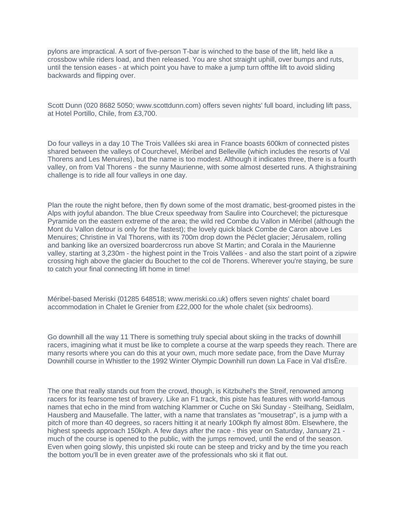pylons are impractical. A sort of five-person T-bar is winched to the base of the lift, held like a crossbow while riders load, and then released. You are shot straight uphill, over bumps and ruts, until the tension eases - at which point you have to make a jump turn offthe lift to avoid sliding backwards and flipping over.

Scott Dunn (020 8682 5050; www.scottdunn.com) offers seven nights' full board, including lift pass, at Hotel Portillo, Chile, from £3,700.

Do four valleys in a day 10 The Trois Vallées ski area in France boasts 600km of connected pistes shared between the valleys of Courchevel, Méribel and Belleville (which includes the resorts of Val Thorens and Les Menuires), but the name is too modest. Although it indicates three, there is a fourth valley, on from Val Thorens - the sunny Maurienne, with some almost deserted runs. A thighstraining challenge is to ride all four valleys in one day.

Plan the route the night before, then fly down some of the most dramatic, best-groomed pistes in the Alps with joyful abandon. The blue Creux speedway from Saulire into Courchevel; the picturesque Pyramide on the eastern extreme of the area; the wild red Combe du Vallon in Méribel (although the Mont du Vallon detour is only for the fastest); the lovely quick black Combe de Caron above Les Menuires; Christine in Val Thorens, with its 700m drop down the Péclet glacier; Jérusalem, rolling and banking like an oversized boardercross run above St Martin; and Corala in the Maurienne valley, starting at 3,230m - the highest point in the Trois Vallées - and also the start point of a zipwire crossing high above the glacier du Bouchet to the col de Thorens. Wherever you're staying, be sure to catch your final connecting lift home in time!

Méribel-based Meriski (01285 648518; www.meriski.co.uk) offers seven nights' chalet board accommodation in Chalet le Grenier from £22,000 for the whole chalet (six bedrooms).

Go downhill all the way 11 There is something truly special about skiing in the tracks of downhill racers, imagining what it must be like to complete a course at the warp speeds they reach. There are many resorts where you can do this at your own, much more sedate pace, from the Dave Murray Downhill course in Whistler to the 1992 Winter Olympic Downhill run down La Face in Val d'IsÈre.

The one that really stands out from the crowd, though, is Kitzbuhel's the Streif, renowned among racers for its fearsome test of bravery. Like an F1 track, this piste has features with world-famous names that echo in the mind from watching Klammer or Cuche on Ski Sunday - Steilhang, Seidlalm, Hausberg and Mausefalle. The latter, with a name that translates as "mousetrap", is a jump with a pitch of more than 40 degrees, so racers hitting it at nearly 100kph fly almost 80m. Elsewhere, the highest speeds approach 150kph. A few days after the race - this year on Saturday, January 21 much of the course is opened to the public, with the jumps removed, until the end of the season. Even when going slowly, this unpisted ski route can be steep and tricky and by the time you reach the bottom you'll be in even greater awe of the professionals who ski it flat out.